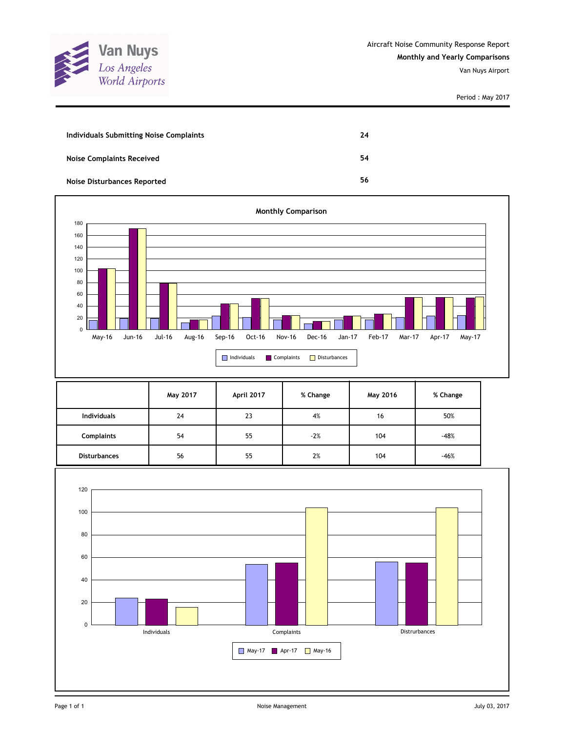

| Individuals Submitting Noise Complaints | 24 |
|-----------------------------------------|----|
| <b>Noise Complaints Received</b>        | 54 |
| Noise Disturbances Reported             | 56 |



|                     | May 2017 | April 2017 | % Change | May 2016 | % Change |
|---------------------|----------|------------|----------|----------|----------|
| <b>Individuals</b>  | 24       | 23         | 4%       | 16       | 50%      |
| <b>Complaints</b>   | 54       | 55         | $-2%$    | 104      | $-48%$   |
| <b>Disturbances</b> | 56       | 55         | 2%       | 104      | $-46%$   |

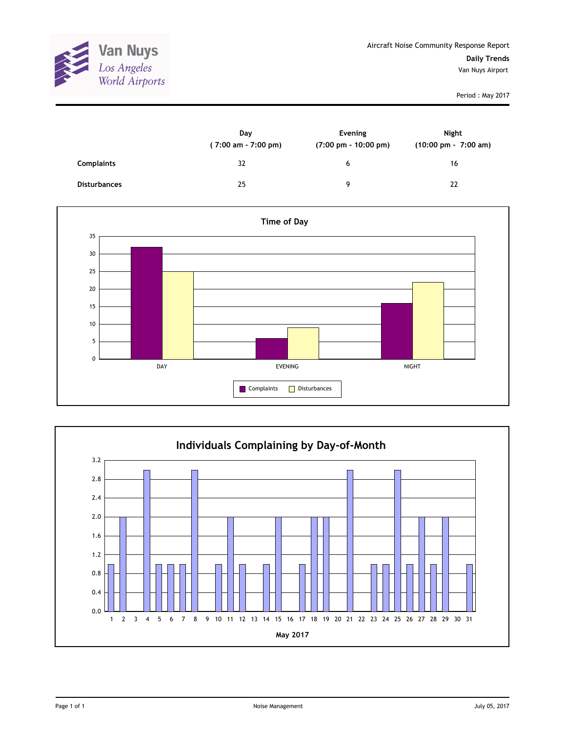

|                     | Day<br>(7:00 am - 7:00 pm) | Evening<br>$(7:00 \text{ pm} - 10:00 \text{ pm})$ | Night<br>$(10:00 \text{ pm} - 7:00 \text{ am})$ |
|---------------------|----------------------------|---------------------------------------------------|-------------------------------------------------|
| <b>Complaints</b>   | 32                         | 6                                                 | 16                                              |
| <b>Disturbances</b> | 25                         | 9                                                 | 22                                              |



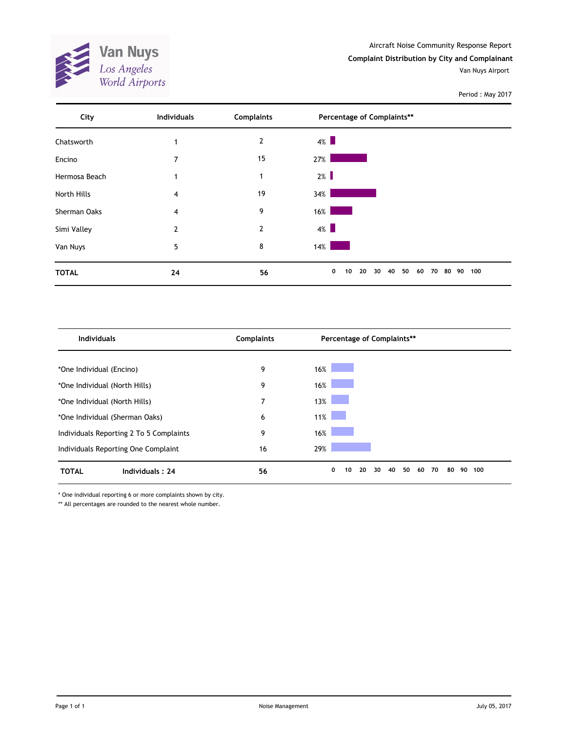Aircraft Noise Community Response Report

**Complaint Distribution by City and Complainant**

Van Nuys Airport

Period : May 2017



| <b>Individuals</b>                      | <b>Complaints</b> | Percentage of Complaints**                              |     |
|-----------------------------------------|-------------------|---------------------------------------------------------|-----|
|                                         |                   |                                                         |     |
| *One Individual (Encino)                | 9                 | 16%                                                     |     |
| *One Individual (North Hills)           | 9                 | 16%                                                     |     |
| *One Individual (North Hills)           | 7                 | 13%                                                     |     |
| *One Individual (Sherman Oaks)          | 6                 | 11%                                                     |     |
| Individuals Reporting 2 To 5 Complaints | 9                 | 16%                                                     |     |
| Individuals Reporting One Complaint     | 16                | 29%                                                     |     |
| <b>TOTAL</b><br>Individuals: 24         | 56                | 0<br>20<br>40<br>50<br>70<br>30<br>60<br>80<br>90<br>10 | 100 |

\* One individual reporting 6 or more complaints shown by city.

\*\* All percentages are rounded to the nearest whole number.

**Van Nuys**<br>Los Angeles<br>World Airports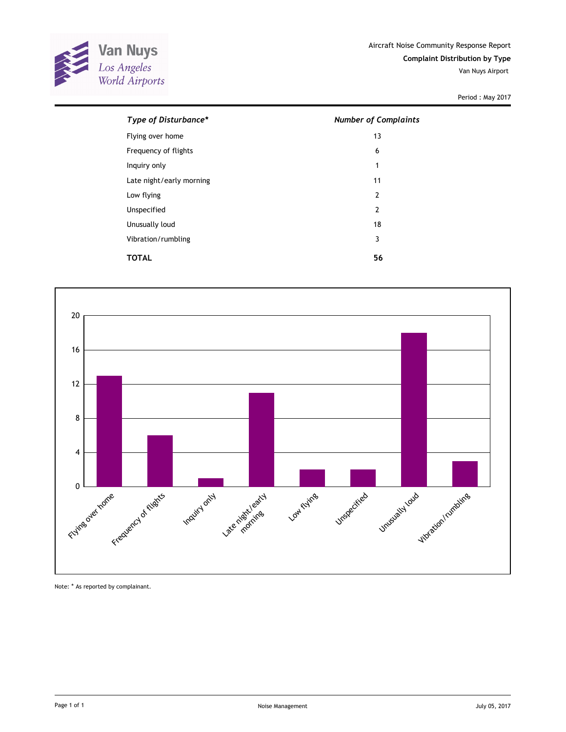

| Type of Disturbance*     | <b>Number of Complaints</b> |
|--------------------------|-----------------------------|
| Flying over home         | 13                          |
| Frequency of flights     | 6                           |
| Inquiry only             | 1                           |
| Late night/early morning | 11                          |
| Low flying               | 2                           |
| Unspecified              | $\overline{2}$              |
| Unusually loud           | 18                          |
| Vibration/rumbling       | 3                           |
| TOTAL                    | 56                          |



Note: \* As reported by complainant.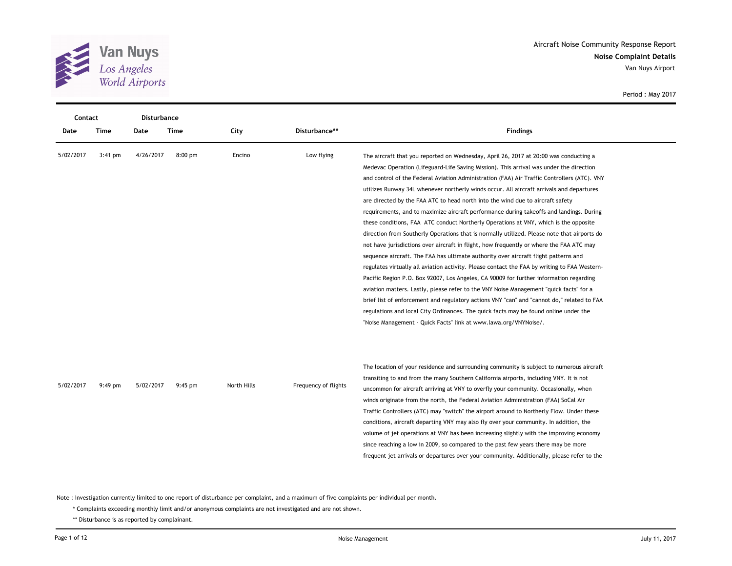

| <b>Contact</b> |           | <b>Disturbance</b> |           |             |                      |                                                                                                                                                                                                                                                                                                                                                                                                                                                                                                                                                                                                                                                                                                                                                                                                                                                                                                                                                                                                                                                                                                                                                                                                                                                                                                                                                                                                                                                                                 |
|----------------|-----------|--------------------|-----------|-------------|----------------------|---------------------------------------------------------------------------------------------------------------------------------------------------------------------------------------------------------------------------------------------------------------------------------------------------------------------------------------------------------------------------------------------------------------------------------------------------------------------------------------------------------------------------------------------------------------------------------------------------------------------------------------------------------------------------------------------------------------------------------------------------------------------------------------------------------------------------------------------------------------------------------------------------------------------------------------------------------------------------------------------------------------------------------------------------------------------------------------------------------------------------------------------------------------------------------------------------------------------------------------------------------------------------------------------------------------------------------------------------------------------------------------------------------------------------------------------------------------------------------|
| Date           | Time      | Date               | Time      | City        | Disturbance**        | <b>Findings</b>                                                                                                                                                                                                                                                                                                                                                                                                                                                                                                                                                                                                                                                                                                                                                                                                                                                                                                                                                                                                                                                                                                                                                                                                                                                                                                                                                                                                                                                                 |
| 5/02/2017      | $3:41$ pm | 4/26/2017          | $8:00$ pm | Encino      | Low flying           | The aircraft that you reported on Wednesday, April 26, 2017 at 20:00 was conducting a<br>Medevac Operation (Lifeguard-Life Saving Mission). This arrival was under the direction<br>and control of the Federal Aviation Administration (FAA) Air Traffic Controllers (ATC). VNY<br>utilizes Runway 34L whenever northerly winds occur. All aircraft arrivals and departures<br>are directed by the FAA ATC to head north into the wind due to aircraft safety<br>requirements, and to maximize aircraft performance during takeoffs and landings. During<br>these conditions, FAA ATC conduct Northerly Operations at VNY, which is the opposite<br>direction from Southerly Operations that is normally utilized. Please note that airports do<br>not have jurisdictions over aircraft in flight, how frequently or where the FAA ATC may<br>sequence aircraft. The FAA has ultimate authority over aircraft flight patterns and<br>regulates virtually all aviation activity. Please contact the FAA by writing to FAA Western-<br>Pacific Region P.O. Box 92007, Los Angeles, CA 90009 for further information regarding<br>aviation matters. Lastly, please refer to the VNY Noise Management "quick facts" for a<br>brief list of enforcement and regulatory actions VNY "can" and "cannot do," related to FAA<br>regulations and local City Ordinances. The quick facts may be found online under the<br>"Noise Management - Quick Facts" link at www.lawa.org/VNYNoise/. |
| 5/02/2017      | $9:49$ pm | 5/02/2017          | $9:45$ pm | North Hills | Frequency of flights | The location of your residence and surrounding community is subject to numerous aircraft<br>transiting to and from the many Southern California airports, including VNY. It is not<br>uncommon for aircraft arriving at VNY to overfly your community. Occasionally, when<br>winds originate from the north, the Federal Aviation Administration (FAA) SoCal Air<br>Traffic Controllers (ATC) may "switch" the airport around to Northerly Flow. Under these<br>conditions, aircraft departing VNY may also fly over your community. In addition, the<br>volume of jet operations at VNY has been increasing slightly with the improving economy<br>since reaching a low in 2009, so compared to the past few years there may be more<br>frequent jet arrivals or departures over your community. Additionally, please refer to the                                                                                                                                                                                                                                                                                                                                                                                                                                                                                                                                                                                                                                             |

Note : Investigation currently limited to one report of disturbance per complaint, and a maximum of five complaints per individual per month.

\* Complaints exceeding monthly limit and/or anonymous complaints are not investigated and are not shown.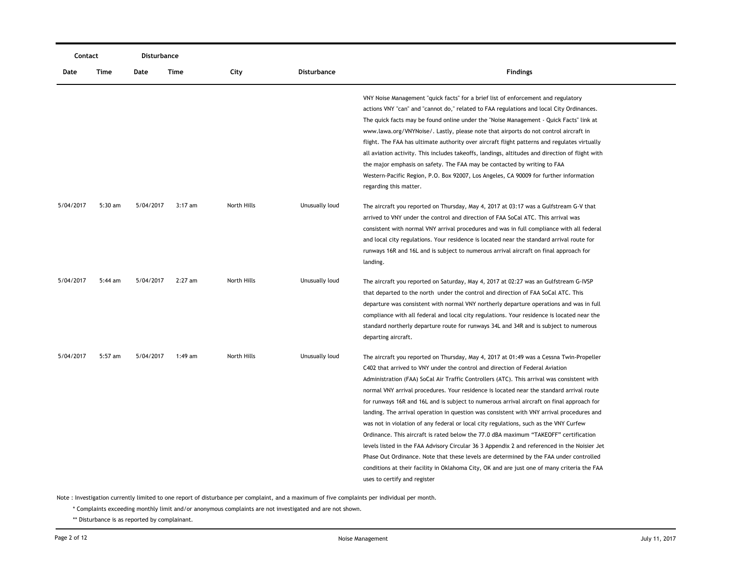|           | Contact   |           | Disturbance |             |                    |                                                                                                 |
|-----------|-----------|-----------|-------------|-------------|--------------------|-------------------------------------------------------------------------------------------------|
| Date      | Time      | Date      | Time        | City        | <b>Disturbance</b> | <b>Findings</b>                                                                                 |
|           |           |           |             |             |                    | VNY Noise Management "quick facts" for a brief list of enforcement and regulatory               |
|           |           |           |             |             |                    | actions VNY "can" and "cannot do," related to FAA regulations and local City Ordinances.        |
|           |           |           |             |             |                    | The quick facts may be found online under the "Noise Management - Quick Facts" link at          |
|           |           |           |             |             |                    | www.lawa.org/VNYNoise/. Lastly, please note that airports do not control aircraft in            |
|           |           |           |             |             |                    | flight. The FAA has ultimate authority over aircraft flight patterns and regulates virtually    |
|           |           |           |             |             |                    | all aviation activity. This includes takeoffs, landings, altitudes and direction of flight with |
|           |           |           |             |             |                    | the major emphasis on safety. The FAA may be contacted by writing to FAA                        |
|           |           |           |             |             |                    | Western-Pacific Region, P.O. Box 92007, Los Angeles, CA 90009 for further information           |
|           |           |           |             |             |                    | regarding this matter.                                                                          |
| 5/04/2017 | 5:30 am   | 5/04/2017 | $3:17$ am   | North Hills | Unusually loud     | The aircraft you reported on Thursday, May 4, 2017 at 03:17 was a Gulfstream G-V that           |
|           |           |           |             |             |                    | arrived to VNY under the control and direction of FAA SoCal ATC. This arrival was               |
|           |           |           |             |             |                    | consistent with normal VNY arrival procedures and was in full compliance with all federal       |
|           |           |           |             |             |                    | and local city regulations. Your residence is located near the standard arrival route for       |
|           |           |           |             |             |                    | runways 16R and 16L and is subject to numerous arrival aircraft on final approach for           |
|           |           |           |             |             |                    | landing.                                                                                        |
| 5/04/2017 | $5:44$ am | 5/04/2017 | $2:27$ am   | North Hills | Unusually loud     | The aircraft you reported on Saturday, May 4, 2017 at 02:27 was an Gulfstream G-IVSP            |
|           |           |           |             |             |                    | that departed to the north under the control and direction of FAA SoCal ATC. This               |
|           |           |           |             |             |                    | departure was consistent with normal VNY northerly departure operations and was in full         |
|           |           |           |             |             |                    | compliance with all federal and local city regulations. Your residence is located near the      |
|           |           |           |             |             |                    | standard northerly departure route for runways 34L and 34R and is subject to numerous           |
|           |           |           |             |             |                    | departing aircraft.                                                                             |
| 5/04/2017 | 5:57 am   | 5/04/2017 | 1:49 am     | North Hills | Unusually loud     | The aircraft you reported on Thursday, May 4, 2017 at 01:49 was a Cessna Twin-Propeller         |
|           |           |           |             |             |                    | C402 that arrived to VNY under the control and direction of Federal Aviation                    |
|           |           |           |             |             |                    | Administration (FAA) SoCal Air Traffic Controllers (ATC). This arrival was consistent with      |
|           |           |           |             |             |                    | normal VNY arrival procedures. Your residence is located near the standard arrival route        |
|           |           |           |             |             |                    | for runways 16R and 16L and is subject to numerous arrival aircraft on final approach for       |
|           |           |           |             |             |                    | landing. The arrival operation in question was consistent with VNY arrival procedures and       |
|           |           |           |             |             |                    | was not in violation of any federal or local city regulations, such as the VNY Curfew           |
|           |           |           |             |             |                    | Ordinance. This aircraft is rated below the 77.0 dBA maximum "TAKEOFF" certification            |
|           |           |           |             |             |                    | levels listed in the FAA Advisory Circular 36 3 Appendix 2 and referenced in the Noisier Jet    |
|           |           |           |             |             |                    | Phase Out Ordinance. Note that these levels are determined by the FAA under controlled          |
|           |           |           |             |             |                    | conditions at their facility in Oklahoma City, OK and are just one of many criteria the FAA     |
|           |           |           |             |             |                    | uses to certify and register                                                                    |

\* Complaints exceeding monthly limit and/or anonymous complaints are not investigated and are not shown.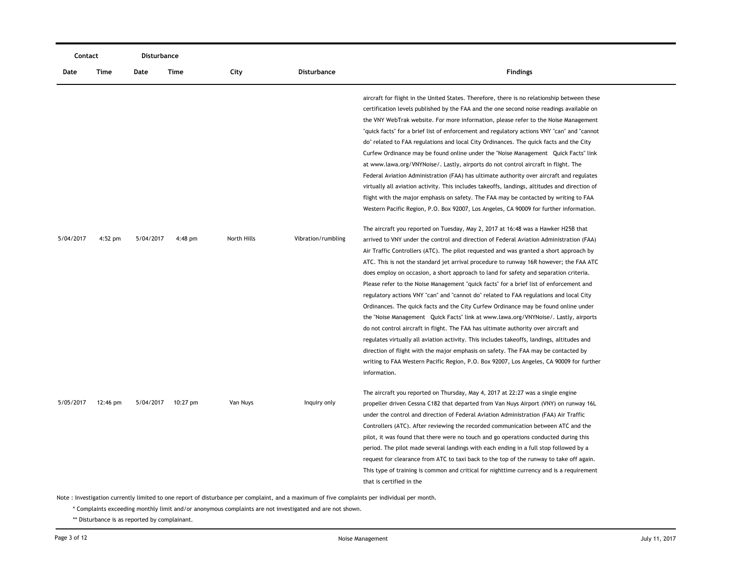| Contact   |           | Disturbance |          |             |                    |                                                                                                                                                                                                                                                                                                                                                                                                                                                                                                                                                                                                                                                                                                                                                                                                                                                                                                                                                                                                                                                                                                                                                                                                                    |
|-----------|-----------|-------------|----------|-------------|--------------------|--------------------------------------------------------------------------------------------------------------------------------------------------------------------------------------------------------------------------------------------------------------------------------------------------------------------------------------------------------------------------------------------------------------------------------------------------------------------------------------------------------------------------------------------------------------------------------------------------------------------------------------------------------------------------------------------------------------------------------------------------------------------------------------------------------------------------------------------------------------------------------------------------------------------------------------------------------------------------------------------------------------------------------------------------------------------------------------------------------------------------------------------------------------------------------------------------------------------|
| Date      | Time      | Date        | Time     | City        | <b>Disturbance</b> | <b>Findings</b>                                                                                                                                                                                                                                                                                                                                                                                                                                                                                                                                                                                                                                                                                                                                                                                                                                                                                                                                                                                                                                                                                                                                                                                                    |
|           |           |             |          |             |                    | aircraft for flight in the United States. Therefore, there is no relationship between these<br>certification levels published by the FAA and the one second noise readings available on<br>the VNY WebTrak website. For more information, please refer to the Noise Management<br>"quick facts" for a brief list of enforcement and regulatory actions VNY "can" and "cannot<br>do" related to FAA regulations and local City Ordinances. The quick facts and the City<br>Curfew Ordinance may be found online under the "Noise Management Quick Facts" link<br>at www.lawa.org/VNYNoise/. Lastly, airports do not control aircraft in flight. The<br>Federal Aviation Administration (FAA) has ultimate authority over aircraft and regulates<br>virtually all aviation activity. This includes takeoffs, landings, altitudes and direction of<br>flight with the major emphasis on safety. The FAA may be contacted by writing to FAA<br>Western Pacific Region, P.O. Box 92007, Los Angeles, CA 90009 for further information.                                                                                                                                                                                  |
| 5/04/2017 | $4:52$ pm | 5/04/2017   | 4:48 pm  | North Hills | Vibration/rumbling | The aircraft you reported on Tuesday, May 2, 2017 at 16:48 was a Hawker H25B that<br>arrived to VNY under the control and direction of Federal Aviation Administration (FAA)<br>Air Traffic Controllers (ATC). The pilot requested and was granted a short approach by<br>ATC. This is not the standard jet arrival procedure to runway 16R however; the FAA ATC<br>does employ on occasion, a short approach to land for safety and separation criteria.<br>Please refer to the Noise Management "quick facts" for a brief list of enforcement and<br>regulatory actions VNY "can" and "cannot do" related to FAA regulations and local City<br>Ordinances. The quick facts and the City Curfew Ordinance may be found online under<br>the "Noise Management Quick Facts" link at www.lawa.org/VNYNoise/. Lastly, airports<br>do not control aircraft in flight. The FAA has ultimate authority over aircraft and<br>regulates virtually all aviation activity. This includes takeoffs, landings, altitudes and<br>direction of flight with the major emphasis on safety. The FAA may be contacted by<br>writing to FAA Western Pacific Region, P.O. Box 92007, Los Angeles, CA 90009 for further<br>information. |
| 5/05/2017 | 12:46 pm  | 5/04/2017   | 10:27 pm | Van Nuys    | Inquiry only       | The aircraft you reported on Thursday, May 4, 2017 at 22:27 was a single engine<br>propeller driven Cessna C182 that departed from Van Nuys Airport (VNY) on runway 16L<br>under the control and direction of Federal Aviation Administration (FAA) Air Traffic<br>Controllers (ATC). After reviewing the recorded communication between ATC and the<br>pilot, it was found that there were no touch and go operations conducted during this<br>period. The pilot made several landings with each ending in a full stop followed by a<br>request for clearance from ATC to taxi back to the top of the runway to take off again.<br>This type of training is common and critical for nighttime currency and is a requirement<br>that is certified in the                                                                                                                                                                                                                                                                                                                                                                                                                                                           |

\* Complaints exceeding monthly limit and/or anonymous complaints are not investigated and are not shown.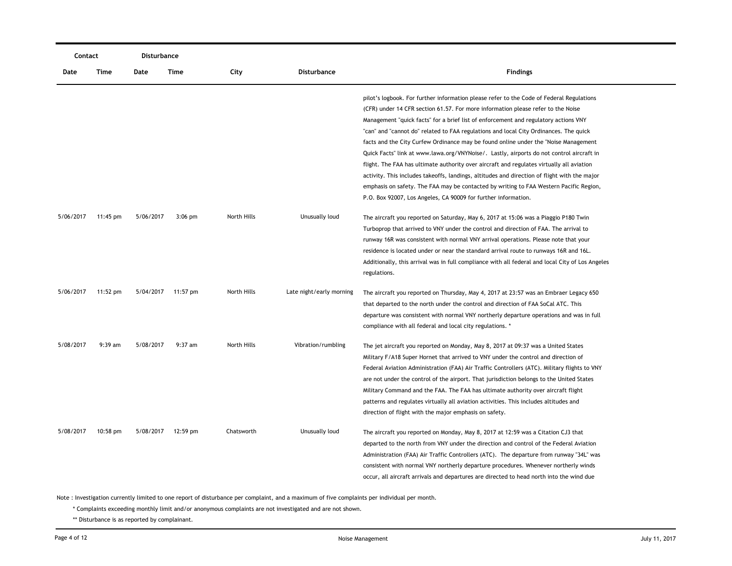| Contact   |                    | Disturbance |           |             |                          |                                                                                                                                                                                                                                                                                                                                                                                                                                                                                                                                                                                                                                                                                                                                               |
|-----------|--------------------|-------------|-----------|-------------|--------------------------|-----------------------------------------------------------------------------------------------------------------------------------------------------------------------------------------------------------------------------------------------------------------------------------------------------------------------------------------------------------------------------------------------------------------------------------------------------------------------------------------------------------------------------------------------------------------------------------------------------------------------------------------------------------------------------------------------------------------------------------------------|
| Date      | Time               | Date        | Time      | City        | <b>Disturbance</b>       | <b>Findings</b>                                                                                                                                                                                                                                                                                                                                                                                                                                                                                                                                                                                                                                                                                                                               |
|           |                    |             |           |             |                          | pilot's logbook. For further information please refer to the Code of Federal Regulations<br>(CFR) under 14 CFR section 61.57. For more information please refer to the Noise<br>Management "quick facts" for a brief list of enforcement and regulatory actions VNY<br>"can" and "cannot do" related to FAA regulations and local City Ordinances. The quick<br>facts and the City Curfew Ordinance may be found online under the "Noise Management"<br>Quick Facts" link at www.lawa.org/VNYNoise/. Lastly, airports do not control aircraft in<br>flight. The FAA has ultimate authority over aircraft and regulates virtually all aviation<br>activity. This includes takeoffs, landings, altitudes and direction of flight with the major |
|           |                    |             |           |             |                          | emphasis on safety. The FAA may be contacted by writing to FAA Western Pacific Region,<br>P.O. Box 92007, Los Angeles, CA 90009 for further information.                                                                                                                                                                                                                                                                                                                                                                                                                                                                                                                                                                                      |
| 5/06/2017 | 11:45 pm           | 5/06/2017   | $3:06$ pm | North Hills | Unusually loud           | The aircraft you reported on Saturday, May 6, 2017 at 15:06 was a Piaggio P180 Twin<br>Turboprop that arrived to VNY under the control and direction of FAA. The arrival to<br>runway 16R was consistent with normal VNY arrival operations. Please note that your<br>residence is located under or near the standard arrival route to runways 16R and 16L.<br>Additionally, this arrival was in full compliance with all federal and local City of Los Angeles<br>regulations.                                                                                                                                                                                                                                                               |
| 5/06/2017 | $11:52 \text{ pm}$ | 5/04/2017   | 11:57 pm  | North Hills | Late night/early morning | The aircraft you reported on Thursday, May 4, 2017 at 23:57 was an Embraer Legacy 650<br>that departed to the north under the control and direction of FAA SoCal ATC. This<br>departure was consistent with normal VNY northerly departure operations and was in full<br>compliance with all federal and local city regulations. *                                                                                                                                                                                                                                                                                                                                                                                                            |
| 5/08/2017 | 9:39 am            | 5/08/2017   | $9:37$ am | North Hills | Vibration/rumbling       | The jet aircraft you reported on Monday, May 8, 2017 at 09:37 was a United States<br>Military F/A18 Super Hornet that arrived to VNY under the control and direction of<br>Federal Aviation Administration (FAA) Air Traffic Controllers (ATC). Military flights to VNY<br>are not under the control of the airport. That jurisdiction belongs to the United States<br>Military Command and the FAA. The FAA has ultimate authority over aircraft flight<br>patterns and regulates virtually all aviation activities. This includes altitudes and<br>direction of flight with the major emphasis on safety.                                                                                                                                   |
| 5/08/2017 | $10:58$ pm         | 5/08/2017   | 12:59 pm  | Chatsworth  | Unusually loud           | The aircraft you reported on Monday, May 8, 2017 at 12:59 was a Citation CJ3 that<br>departed to the north from VNY under the direction and control of the Federal Aviation<br>Administration (FAA) Air Traffic Controllers (ATC). The departure from runway "34L" was<br>consistent with normal VNY northerly departure procedures. Whenever northerly winds<br>occur, all aircraft arrivals and departures are directed to head north into the wind due                                                                                                                                                                                                                                                                                     |

\* Complaints exceeding monthly limit and/or anonymous complaints are not investigated and are not shown.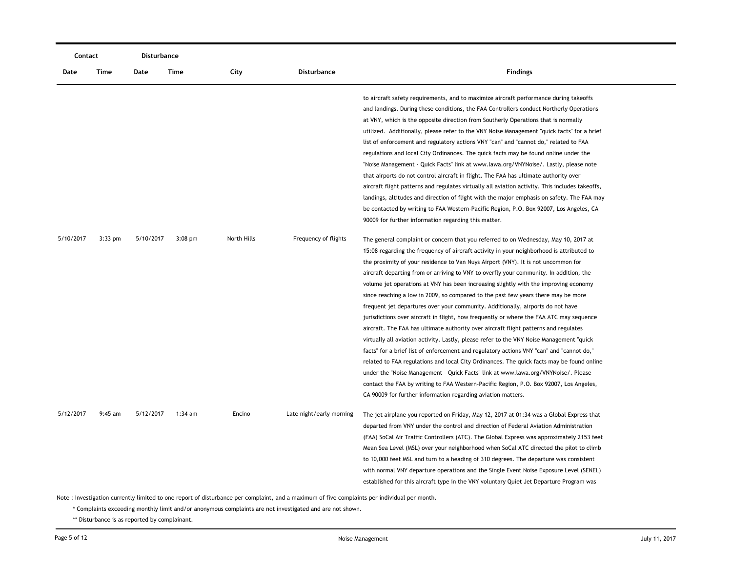| Contact   |           | Disturbance |           |             |                          |                                                                                                                                                                                                                                                                                                                                                                                                                                                                                                                                                                                                                                                                                                                                                                                                                                                                                                                                                                                                                                                                                                                                                                                                                                                                                                                                                       |  |  |
|-----------|-----------|-------------|-----------|-------------|--------------------------|-------------------------------------------------------------------------------------------------------------------------------------------------------------------------------------------------------------------------------------------------------------------------------------------------------------------------------------------------------------------------------------------------------------------------------------------------------------------------------------------------------------------------------------------------------------------------------------------------------------------------------------------------------------------------------------------------------------------------------------------------------------------------------------------------------------------------------------------------------------------------------------------------------------------------------------------------------------------------------------------------------------------------------------------------------------------------------------------------------------------------------------------------------------------------------------------------------------------------------------------------------------------------------------------------------------------------------------------------------|--|--|
| Date      | Time      | Date        | Time      | City        | Disturbance              | <b>Findings</b>                                                                                                                                                                                                                                                                                                                                                                                                                                                                                                                                                                                                                                                                                                                                                                                                                                                                                                                                                                                                                                                                                                                                                                                                                                                                                                                                       |  |  |
|           |           |             |           |             |                          | to aircraft safety requirements, and to maximize aircraft performance during takeoffs<br>and landings. During these conditions, the FAA Controllers conduct Northerly Operations<br>at VNY, which is the opposite direction from Southerly Operations that is normally<br>utilized. Additionally, please refer to the VNY Noise Management "quick facts" for a brief<br>list of enforcement and regulatory actions VNY "can" and "cannot do," related to FAA<br>regulations and local City Ordinances. The quick facts may be found online under the<br>"Noise Management - Quick Facts" link at www.lawa.org/VNYNoise/. Lastly, please note<br>that airports do not control aircraft in flight. The FAA has ultimate authority over<br>aircraft flight patterns and regulates virtually all aviation activity. This includes takeoffs,<br>landings, altitudes and direction of flight with the major emphasis on safety. The FAA may<br>be contacted by writing to FAA Western-Pacific Region, P.O. Box 92007, Los Angeles, CA<br>90009 for further information regarding this matter.                                                                                                                                                                                                                                                               |  |  |
| 5/10/2017 | $3:33$ pm | 5/10/2017   | $3:08$ pm | North Hills | Frequency of flights     | The general complaint or concern that you referred to on Wednesday, May 10, 2017 at<br>15:08 regarding the frequency of aircraft activity in your neighborhood is attributed to<br>the proximity of your residence to Van Nuys Airport (VNY). It is not uncommon for<br>aircraft departing from or arriving to VNY to overfly your community. In addition, the<br>volume jet operations at VNY has been increasing slightly with the improving economy<br>since reaching a low in 2009, so compared to the past few years there may be more<br>frequent jet departures over your community. Additionally, airports do not have<br>jurisdictions over aircraft in flight, how frequently or where the FAA ATC may sequence<br>aircraft. The FAA has ultimate authority over aircraft flight patterns and regulates<br>virtually all aviation activity. Lastly, please refer to the VNY Noise Management "quick<br>facts" for a brief list of enforcement and regulatory actions VNY "can" and "cannot do,"<br>related to FAA regulations and local City Ordinances. The quick facts may be found online<br>under the "Noise Management - Quick Facts" link at www.lawa.org/VNYNoise/. Please<br>contact the FAA by writing to FAA Western-Pacific Region, P.O. Box 92007, Los Angeles,<br>CA 90009 for further information regarding aviation matters. |  |  |
| 5/12/2017 | $9:45$ am | 5/12/2017   | 1:34 am   | Encino      | Late night/early morning | The jet airplane you reported on Friday, May 12, 2017 at 01:34 was a Global Express that<br>departed from VNY under the control and direction of Federal Aviation Administration<br>(FAA) SoCal Air Traffic Controllers (ATC). The Global Express was approximately 2153 feet<br>Mean Sea Level (MSL) over your neighborhood when SoCal ATC directed the pilot to climb<br>to 10,000 feet MSL and turn to a heading of 310 degrees. The departure was consistent<br>with normal VNY departure operations and the Single Event Noise Exposure Level (SENEL)<br>established for this aircraft type in the VNY voluntary Quiet Jet Departure Program was                                                                                                                                                                                                                                                                                                                                                                                                                                                                                                                                                                                                                                                                                                 |  |  |

\* Complaints exceeding monthly limit and/or anonymous complaints are not investigated and are not shown.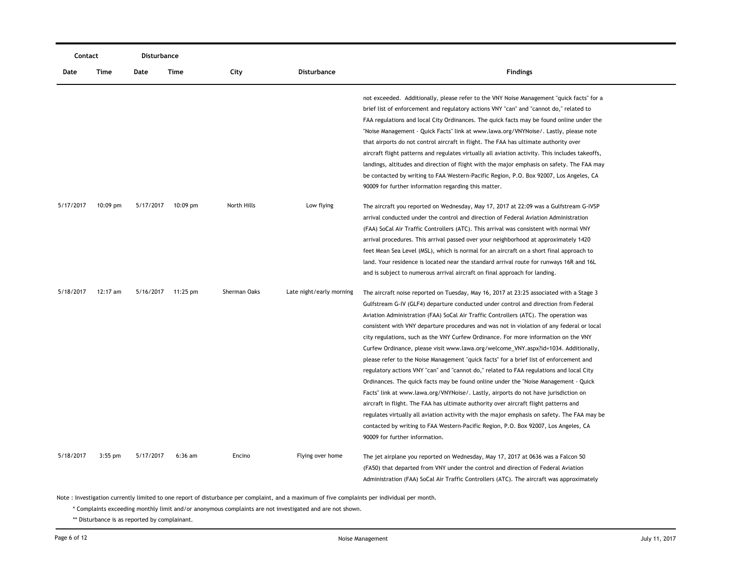|           | Contact    |           | Disturbance |              |                          |                                                                                                                                                                                                                                                                                                                                                                                                                                                                                                                                                                                                                                                                                                                                                                                                                                                                                                                                                                                                                                                                                                                                                                                                                                      |
|-----------|------------|-----------|-------------|--------------|--------------------------|--------------------------------------------------------------------------------------------------------------------------------------------------------------------------------------------------------------------------------------------------------------------------------------------------------------------------------------------------------------------------------------------------------------------------------------------------------------------------------------------------------------------------------------------------------------------------------------------------------------------------------------------------------------------------------------------------------------------------------------------------------------------------------------------------------------------------------------------------------------------------------------------------------------------------------------------------------------------------------------------------------------------------------------------------------------------------------------------------------------------------------------------------------------------------------------------------------------------------------------|
| Date      | Time       | Date      | Time        | City         | <b>Disturbance</b>       | <b>Findings</b>                                                                                                                                                                                                                                                                                                                                                                                                                                                                                                                                                                                                                                                                                                                                                                                                                                                                                                                                                                                                                                                                                                                                                                                                                      |
|           |            |           |             |              |                          | not exceeded. Additionally, please refer to the VNY Noise Management "quick facts" for a<br>brief list of enforcement and regulatory actions VNY "can" and "cannot do," related to<br>FAA regulations and local City Ordinances. The quick facts may be found online under the<br>"Noise Management - Quick Facts" link at www.lawa.org/VNYNoise/. Lastly, please note<br>that airports do not control aircraft in flight. The FAA has ultimate authority over<br>aircraft flight patterns and regulates virtually all aviation activity. This includes takeoffs,<br>landings, altitudes and direction of flight with the major emphasis on safety. The FAA may<br>be contacted by writing to FAA Western-Pacific Region, P.O. Box 92007, Los Angeles, CA<br>90009 for further information regarding this matter.                                                                                                                                                                                                                                                                                                                                                                                                                    |
| 5/17/2017 | $10:09$ pm | 5/17/2017 | $10:09$ pm  | North Hills  | Low flying               | The aircraft you reported on Wednesday, May 17, 2017 at 22:09 was a Gulfstream G-IVSP<br>arrival conducted under the control and direction of Federal Aviation Administration<br>(FAA) SoCal Air Traffic Controllers (ATC). This arrival was consistent with normal VNY<br>arrival procedures. This arrival passed over your neighborhood at approximately 1420<br>feet Mean Sea Level (MSL), which is normal for an aircraft on a short final approach to<br>land. Your residence is located near the standard arrival route for runways 16R and 16L<br>and is subject to numerous arrival aircraft on final approach for landing.                                                                                                                                                                                                                                                                                                                                                                                                                                                                                                                                                                                                  |
| 5/18/2017 | $12:17$ am | 5/16/2017 | 11:25 pm    | Sherman Oaks | Late night/early morning | The aircraft noise reported on Tuesday, May 16, 2017 at 23:25 associated with a Stage 3<br>Gulfstream G-IV (GLF4) departure conducted under control and direction from Federal<br>Aviation Administration (FAA) SoCal Air Traffic Controllers (ATC). The operation was<br>consistent with VNY departure procedures and was not in violation of any federal or local<br>city regulations, such as the VNY Curfew Ordinance. For more information on the VNY<br>Curfew Ordinance, please visit www.lawa.org/welcome_VNY.aspx?id=1034. Additionally,<br>please refer to the Noise Management "quick facts" for a brief list of enforcement and<br>regulatory actions VNY "can" and "cannot do," related to FAA regulations and local City<br>Ordinances. The quick facts may be found online under the "Noise Management - Quick<br>Facts" link at www.lawa.org/VNYNoise/. Lastly, airports do not have jurisdiction on<br>aircraft in flight. The FAA has ultimate authority over aircraft flight patterns and<br>regulates virtually all aviation activity with the major emphasis on safety. The FAA may be<br>contacted by writing to FAA Western-Pacific Region, P.O. Box 92007, Los Angeles, CA<br>90009 for further information. |
| 5/18/2017 | $3:55$ pm  | 5/17/2017 | $6:36$ am   | Encino       | Flying over home         | The jet airplane you reported on Wednesday, May 17, 2017 at 0636 was a Falcon 50<br>(FA50) that departed from VNY under the control and direction of Federal Aviation<br>Administration (FAA) SoCal Air Traffic Controllers (ATC). The aircraft was approximately                                                                                                                                                                                                                                                                                                                                                                                                                                                                                                                                                                                                                                                                                                                                                                                                                                                                                                                                                                    |

\* Complaints exceeding monthly limit and/or anonymous complaints are not investigated and are not shown.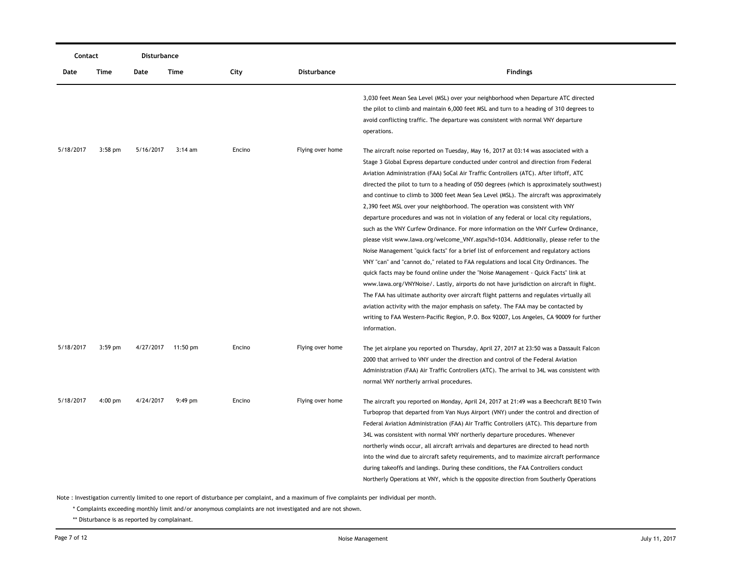| Contact   |           | Disturbance |                    |        |                  |                                                                                                                                                                                                                                                                                                                                                                                                                                                                                                                                                                                                                                                                                                                                                                                                                                                                                                                                                                                                                                                                                                                                                                                                                                                                                                                                                                                                                                                                                       |
|-----------|-----------|-------------|--------------------|--------|------------------|---------------------------------------------------------------------------------------------------------------------------------------------------------------------------------------------------------------------------------------------------------------------------------------------------------------------------------------------------------------------------------------------------------------------------------------------------------------------------------------------------------------------------------------------------------------------------------------------------------------------------------------------------------------------------------------------------------------------------------------------------------------------------------------------------------------------------------------------------------------------------------------------------------------------------------------------------------------------------------------------------------------------------------------------------------------------------------------------------------------------------------------------------------------------------------------------------------------------------------------------------------------------------------------------------------------------------------------------------------------------------------------------------------------------------------------------------------------------------------------|
| Date      | Time      | Date        | Time               | City   | Disturbance      | <b>Findings</b>                                                                                                                                                                                                                                                                                                                                                                                                                                                                                                                                                                                                                                                                                                                                                                                                                                                                                                                                                                                                                                                                                                                                                                                                                                                                                                                                                                                                                                                                       |
|           |           |             |                    |        |                  | 3,030 feet Mean Sea Level (MSL) over your neighborhood when Departure ATC directed<br>the pilot to climb and maintain 6,000 feet MSL and turn to a heading of 310 degrees to<br>avoid conflicting traffic. The departure was consistent with normal VNY departure<br>operations.                                                                                                                                                                                                                                                                                                                                                                                                                                                                                                                                                                                                                                                                                                                                                                                                                                                                                                                                                                                                                                                                                                                                                                                                      |
| 5/18/2017 | $3:58$ pm | 5/16/2017   | $3:14 \text{ am}$  | Encino | Flying over home | The aircraft noise reported on Tuesday, May 16, 2017 at 03:14 was associated with a<br>Stage 3 Global Express departure conducted under control and direction from Federal<br>Aviation Administration (FAA) SoCal Air Traffic Controllers (ATC). After liftoff, ATC<br>directed the pilot to turn to a heading of 050 degrees (which is approximately southwest)<br>and continue to climb to 3000 feet Mean Sea Level (MSL). The aircraft was approximately<br>2,390 feet MSL over your neighborhood. The operation was consistent with VNY<br>departure procedures and was not in violation of any federal or local city regulations,<br>such as the VNY Curfew Ordinance. For more information on the VNY Curfew Ordinance,<br>please visit www.lawa.org/welcome_VNY.aspx?id=1034. Additionally, please refer to the<br>Noise Management "quick facts" for a brief list of enforcement and regulatory actions<br>VNY "can" and "cannot do," related to FAA regulations and local City Ordinances. The<br>quick facts may be found online under the "Noise Management - Quick Facts" link at<br>www.lawa.org/VNYNoise/. Lastly, airports do not have jurisdiction on aircraft in flight.<br>The FAA has ultimate authority over aircraft flight patterns and regulates virtually all<br>aviation activity with the major emphasis on safety. The FAA may be contacted by<br>writing to FAA Western-Pacific Region, P.O. Box 92007, Los Angeles, CA 90009 for further<br>information. |
| 5/18/2017 | $3:59$ pm |             | 4/27/2017 11:50 pm | Encino | Flying over home | The jet airplane you reported on Thursday, April 27, 2017 at 23:50 was a Dassault Falcon<br>2000 that arrived to VNY under the direction and control of the Federal Aviation<br>Administration (FAA) Air Traffic Controllers (ATC). The arrival to 34L was consistent with<br>normal VNY northerly arrival procedures.                                                                                                                                                                                                                                                                                                                                                                                                                                                                                                                                                                                                                                                                                                                                                                                                                                                                                                                                                                                                                                                                                                                                                                |
| 5/18/2017 | $4:00$ pm | 4/24/2017   | $9:49$ pm          | Encino | Flying over home | The aircraft you reported on Monday, April 24, 2017 at 21:49 was a Beechcraft BE10 Twin<br>Turboprop that departed from Van Nuys Airport (VNY) under the control and direction of<br>Federal Aviation Administration (FAA) Air Traffic Controllers (ATC). This departure from<br>34L was consistent with normal VNY northerly departure procedures. Whenever<br>northerly winds occur, all aircraft arrivals and departures are directed to head north<br>into the wind due to aircraft safety requirements, and to maximize aircraft performance<br>during takeoffs and landings. During these conditions, the FAA Controllers conduct<br>Northerly Operations at VNY, which is the opposite direction from Southerly Operations                                                                                                                                                                                                                                                                                                                                                                                                                                                                                                                                                                                                                                                                                                                                                     |

\* Complaints exceeding monthly limit and/or anonymous complaints are not investigated and are not shown.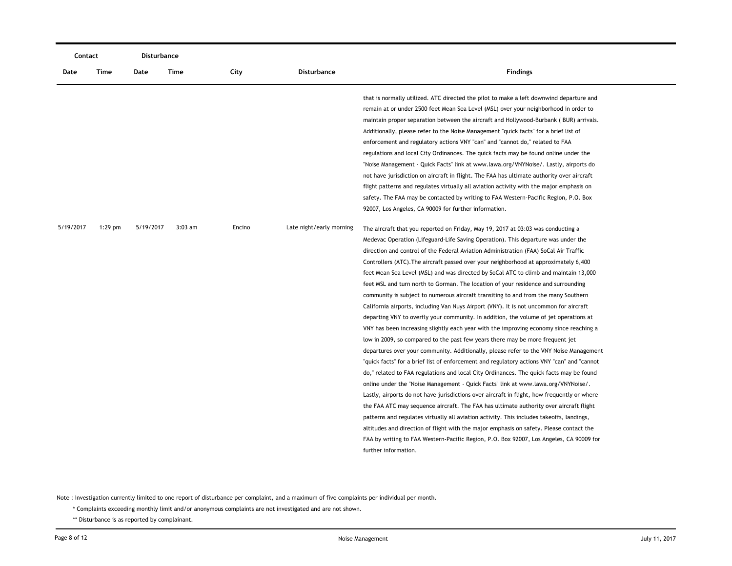| Contact   |           | <b>Disturbance</b> |           |        |                          |                                                                                                                                                                                                                                                                                                                                                                                                                                                                                                                                                                                                                                                                                                                                                                                                                                                                                                                                                                                                                                                                                                                                                                                                                                                                                                                                                                                                                                                                                                                                                                                                                                                                                                                                                                                |
|-----------|-----------|--------------------|-----------|--------|--------------------------|--------------------------------------------------------------------------------------------------------------------------------------------------------------------------------------------------------------------------------------------------------------------------------------------------------------------------------------------------------------------------------------------------------------------------------------------------------------------------------------------------------------------------------------------------------------------------------------------------------------------------------------------------------------------------------------------------------------------------------------------------------------------------------------------------------------------------------------------------------------------------------------------------------------------------------------------------------------------------------------------------------------------------------------------------------------------------------------------------------------------------------------------------------------------------------------------------------------------------------------------------------------------------------------------------------------------------------------------------------------------------------------------------------------------------------------------------------------------------------------------------------------------------------------------------------------------------------------------------------------------------------------------------------------------------------------------------------------------------------------------------------------------------------|
| Date      | Time      | Date               | Time      | City   | <b>Disturbance</b>       | <b>Findings</b>                                                                                                                                                                                                                                                                                                                                                                                                                                                                                                                                                                                                                                                                                                                                                                                                                                                                                                                                                                                                                                                                                                                                                                                                                                                                                                                                                                                                                                                                                                                                                                                                                                                                                                                                                                |
| 5/19/2017 | $1:29$ pm | 5/19/2017          | $3:03$ am | Encino | Late night/early morning | that is normally utilized. ATC directed the pilot to make a left downwind departure and<br>remain at or under 2500 feet Mean Sea Level (MSL) over your neighborhood in order to<br>maintain proper separation between the aircraft and Hollywood-Burbank (BUR) arrivals.<br>Additionally, please refer to the Noise Management "quick facts" for a brief list of<br>enforcement and regulatory actions VNY "can" and "cannot do," related to FAA<br>regulations and local City Ordinances. The quick facts may be found online under the<br>"Noise Management - Quick Facts" link at www.lawa.org/VNYNoise/. Lastly, airports do<br>not have jurisdiction on aircraft in flight. The FAA has ultimate authority over aircraft<br>flight patterns and regulates virtually all aviation activity with the major emphasis on<br>safety. The FAA may be contacted by writing to FAA Western-Pacific Region, P.O. Box<br>92007, Los Angeles, CA 90009 for further information.<br>The aircraft that you reported on Friday, May 19, 2017 at 03:03 was conducting a                                                                                                                                                                                                                                                                                                                                                                                                                                                                                                                                                                                                                                                                                                                  |
|           |           |                    |           |        |                          | Medevac Operation (Lifeguard-Life Saving Operation). This departure was under the<br>direction and control of the Federal Aviation Administration (FAA) SoCal Air Traffic<br>Controllers (ATC). The aircraft passed over your neighborhood at approximately 6,400<br>feet Mean Sea Level (MSL) and was directed by SoCal ATC to climb and maintain 13,000<br>feet MSL and turn north to Gorman. The location of your residence and surrounding<br>community is subject to numerous aircraft transiting to and from the many Southern<br>California airports, including Van Nuys Airport (VNY). It is not uncommon for aircraft<br>departing VNY to overfly your community. In addition, the volume of jet operations at<br>VNY has been increasing slightly each year with the improving economy since reaching a<br>low in 2009, so compared to the past few years there may be more frequent jet<br>departures over your community. Additionally, please refer to the VNY Noise Management<br>"quick facts" for a brief list of enforcement and regulatory actions VNY "can" and "cannot<br>do," related to FAA regulations and local City Ordinances. The quick facts may be found<br>online under the "Noise Management - Quick Facts" link at www.lawa.org/VNYNoise/.<br>Lastly, airports do not have jurisdictions over aircraft in flight, how frequently or where<br>the FAA ATC may sequence aircraft. The FAA has ultimate authority over aircraft flight<br>patterns and regulates virtually all aviation activity. This includes takeoffs, landings,<br>altitudes and direction of flight with the major emphasis on safety. Please contact the<br>FAA by writing to FAA Western-Pacific Region, P.O. Box 92007, Los Angeles, CA 90009 for<br>further information. |

\* Complaints exceeding monthly limit and/or anonymous complaints are not investigated and are not shown.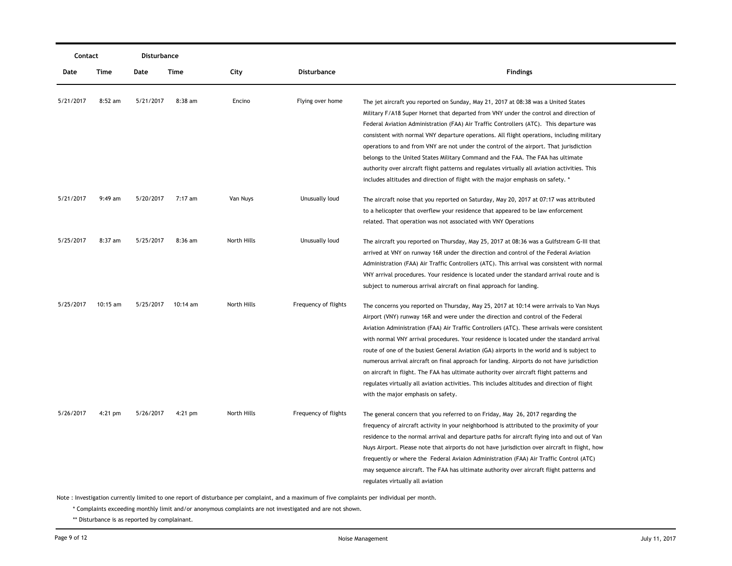| Contact   |           | Disturbance |           |             |                      |                                                                                                                                                                                                                                                                                                                                                                                                                                                                                                                                                                                                                                                                                                                                                                                                   |
|-----------|-----------|-------------|-----------|-------------|----------------------|---------------------------------------------------------------------------------------------------------------------------------------------------------------------------------------------------------------------------------------------------------------------------------------------------------------------------------------------------------------------------------------------------------------------------------------------------------------------------------------------------------------------------------------------------------------------------------------------------------------------------------------------------------------------------------------------------------------------------------------------------------------------------------------------------|
| Date      | Time      | Date        | Time      | City        | <b>Disturbance</b>   | <b>Findings</b>                                                                                                                                                                                                                                                                                                                                                                                                                                                                                                                                                                                                                                                                                                                                                                                   |
| 5/21/2017 | $8:52$ am | 5/21/2017   | 8:38 am   | Encino      | Flying over home     | The jet aircraft you reported on Sunday, May 21, 2017 at 08:38 was a United States<br>Military F/A18 Super Hornet that departed from VNY under the control and direction of<br>Federal Aviation Administration (FAA) Air Traffic Controllers (ATC). This departure was<br>consistent with normal VNY departure operations. All flight operations, including military<br>operations to and from VNY are not under the control of the airport. That jurisdiction<br>belongs to the United States Military Command and the FAA. The FAA has ultimate<br>authority over aircraft flight patterns and regulates virtually all aviation activities. This<br>includes altitudes and direction of flight with the major emphasis on safety. *                                                             |
| 5/21/2017 | $9:49$ am | 5/20/2017   | 7:17 am   | Van Nuys    | Unusually loud       | The aircraft noise that you reported on Saturday, May 20, 2017 at 07:17 was attributed<br>to a helicopter that overflew your residence that appeared to be law enforcement<br>related. That operation was not associated with VNY Operations                                                                                                                                                                                                                                                                                                                                                                                                                                                                                                                                                      |
| 5/25/2017 | $8:37$ am | 5/25/2017   | $8:36$ am | North Hills | Unusually loud       | The aircraft you reported on Thursday, May 25, 2017 at 08:36 was a Gulfstream G-III that<br>arrived at VNY on runway 16R under the direction and control of the Federal Aviation<br>Administration (FAA) Air Traffic Controllers (ATC). This arrival was consistent with normal<br>VNY arrival procedures. Your residence is located under the standard arrival route and is<br>subject to numerous arrival aircraft on final approach for landing.                                                                                                                                                                                                                                                                                                                                               |
| 5/25/2017 | 10:15 am  | 5/25/2017   | 10:14 am  | North Hills | Frequency of flights | The concerns you reported on Thursday, May 25, 2017 at 10:14 were arrivals to Van Nuys<br>Airport (VNY) runway 16R and were under the direction and control of the Federal<br>Aviation Administration (FAA) Air Traffic Controllers (ATC). These arrivals were consistent<br>with normal VNY arrival procedures. Your residence is located under the standard arrival<br>route of one of the busiest General Aviation (GA) airports in the world and is subject to<br>numerous arrival aircraft on final approach for landing. Airports do not have jurisdiction<br>on aircraft in flight. The FAA has ultimate authority over aircraft flight patterns and<br>regulates virtually all aviation activities. This includes altitudes and direction of flight<br>with the major emphasis on safety. |
| 5/26/2017 | $4:21$ pm | 5/26/2017   | $4:21$ pm | North Hills | Frequency of flights | The general concern that you referred to on Friday, May 26, 2017 regarding the<br>frequency of aircraft activity in your neighborhood is attributed to the proximity of your<br>residence to the normal arrival and departure paths for aircraft flying into and out of Van<br>Nuys Airport. Please note that airports do not have jurisdiction over aircraft in flight, how<br>frequently or where the Federal Aviaion Administration (FAA) Air Traffic Control (ATC)<br>may sequence aircraft. The FAA has ultimate authority over aircraft flight patterns and<br>regulates virtually all aviation                                                                                                                                                                                             |

\* Complaints exceeding monthly limit and/or anonymous complaints are not investigated and are not shown.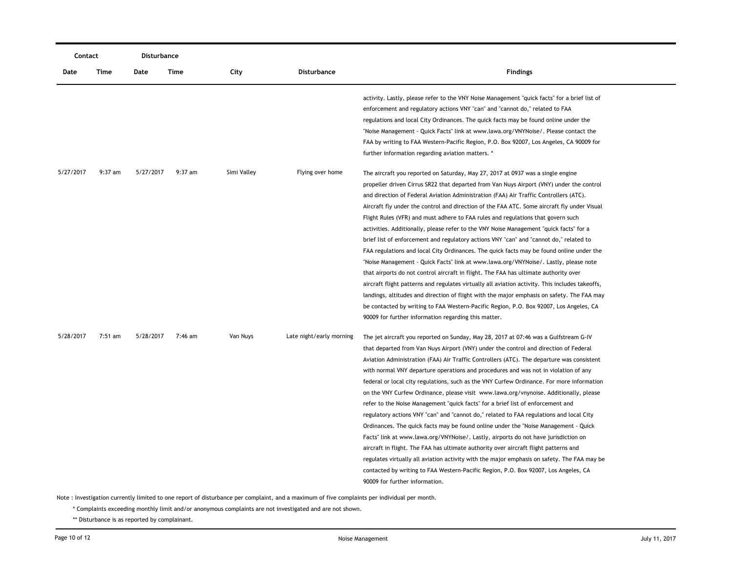| Contact   |         | Disturbance |         |             |                          |                                                                                                                                                                                                                                                                                                                                                                                                                                                                                                                                                                                                                                                                                                                                                                                                                                                                                                                                                                                                                                                                                                                                                                                                                                                                            |
|-----------|---------|-------------|---------|-------------|--------------------------|----------------------------------------------------------------------------------------------------------------------------------------------------------------------------------------------------------------------------------------------------------------------------------------------------------------------------------------------------------------------------------------------------------------------------------------------------------------------------------------------------------------------------------------------------------------------------------------------------------------------------------------------------------------------------------------------------------------------------------------------------------------------------------------------------------------------------------------------------------------------------------------------------------------------------------------------------------------------------------------------------------------------------------------------------------------------------------------------------------------------------------------------------------------------------------------------------------------------------------------------------------------------------|
| Date      | Time    | Date        | Time    | City        | <b>Disturbance</b>       | <b>Findings</b>                                                                                                                                                                                                                                                                                                                                                                                                                                                                                                                                                                                                                                                                                                                                                                                                                                                                                                                                                                                                                                                                                                                                                                                                                                                            |
|           |         |             |         |             |                          | activity. Lastly, please refer to the VNY Noise Management "quick facts" for a brief list of<br>enforcement and regulatory actions VNY "can" and "cannot do," related to FAA<br>regulations and local City Ordinances. The quick facts may be found online under the<br>"Noise Management - Quick Facts" link at www.lawa.org/VNYNoise/. Please contact the                                                                                                                                                                                                                                                                                                                                                                                                                                                                                                                                                                                                                                                                                                                                                                                                                                                                                                                |
|           |         |             |         |             |                          | FAA by writing to FAA Western-Pacific Region, P.O. Box 92007, Los Angeles, CA 90009 for<br>further information regarding aviation matters. *                                                                                                                                                                                                                                                                                                                                                                                                                                                                                                                                                                                                                                                                                                                                                                                                                                                                                                                                                                                                                                                                                                                               |
| 5/27/2017 | 9:37 am | 5/27/2017   | 9:37 am | Simi Valley | Flying over home         | The aircraft you reported on Saturday, May 27, 2017 at 0937 was a single engine<br>propeller driven Cirrus SR22 that departed from Van Nuys Airport (VNY) under the control<br>and direction of Federal Aviation Administration (FAA) Air Traffic Controllers (ATC).<br>Aircraft fly under the control and direction of the FAA ATC. Some aircraft fly under Visual<br>Flight Rules (VFR) and must adhere to FAA rules and regulations that govern such<br>activities. Additionally, please refer to the VNY Noise Management "quick facts" for a<br>brief list of enforcement and regulatory actions VNY "can" and "cannot do," related to<br>FAA regulations and local City Ordinances. The quick facts may be found online under the<br>"Noise Management - Quick Facts" link at www.lawa.org/VNYNoise/. Lastly, please note<br>that airports do not control aircraft in flight. The FAA has ultimate authority over<br>aircraft flight patterns and regulates virtually all aviation activity. This includes takeoffs,<br>landings, altitudes and direction of flight with the major emphasis on safety. The FAA may<br>be contacted by writing to FAA Western-Pacific Region, P.O. Box 92007, Los Angeles, CA<br>90009 for further information regarding this matter. |
| 5/28/2017 | 7:51 am | 5/28/2017   | 7:46 am | Van Nuys    | Late night/early morning | The jet aircraft you reported on Sunday, May 28, 2017 at 07:46 was a Gulfstream G-IV<br>that departed from Van Nuys Airport (VNY) under the control and direction of Federal<br>Aviation Administration (FAA) Air Traffic Controllers (ATC). The departure was consistent<br>with normal VNY departure operations and procedures and was not in violation of any<br>federal or local city regulations, such as the VNY Curfew Ordinance. For more information<br>on the VNY Curfew Ordinance, please visit www.lawa.org/vnynoise. Additionally, please<br>refer to the Noise Management "quick facts" for a brief list of enforcement and<br>regulatory actions VNY "can" and "cannot do," related to FAA regulations and local City<br>Ordinances. The quick facts may be found online under the "Noise Management - Quick<br>Facts" link at www.lawa.org/VNYNoise/. Lastly, airports do not have jurisdiction on<br>aircraft in flight. The FAA has ultimate authority over aircraft flight patterns and<br>regulates virtually all aviation activity with the major emphasis on safety. The FAA may be<br>contacted by writing to FAA Western-Pacific Region, P.O. Box 92007, Los Angeles, CA<br>90009 for further information.                                         |

\* Complaints exceeding monthly limit and/or anonymous complaints are not investigated and are not shown.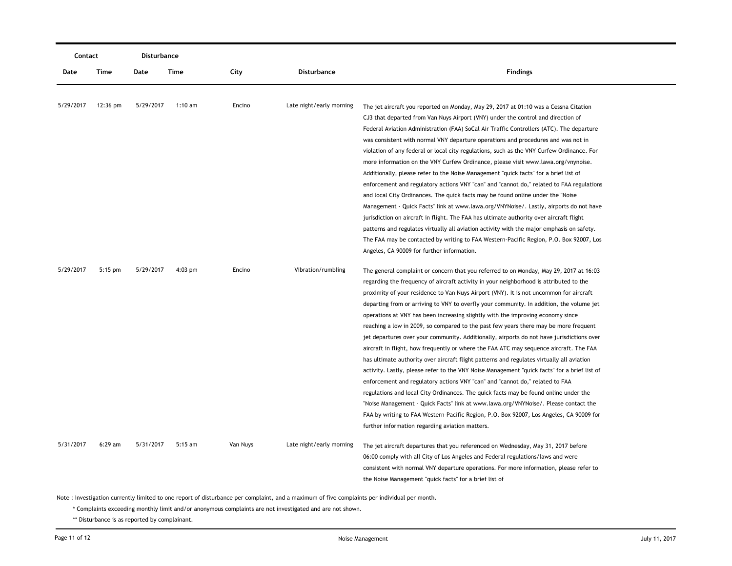| Contact   |           | <b>Disturbance</b> |                   |          |                          |                                                                                                                                                                                     |
|-----------|-----------|--------------------|-------------------|----------|--------------------------|-------------------------------------------------------------------------------------------------------------------------------------------------------------------------------------|
| Date      | Time      | Date               | Time              | City     | <b>Disturbance</b>       | <b>Findings</b>                                                                                                                                                                     |
|           |           |                    |                   |          |                          |                                                                                                                                                                                     |
| 5/29/2017 | 12:36 pm  | 5/29/2017          | $1:10 \text{ am}$ | Encino   | Late night/early morning | The jet aircraft you reported on Monday, May 29, 2017 at 01:10 was a Cessna Citation                                                                                                |
|           |           |                    |                   |          |                          | CJ3 that departed from Van Nuys Airport (VNY) under the control and direction of                                                                                                    |
|           |           |                    |                   |          |                          | Federal Aviation Administration (FAA) SoCal Air Traffic Controllers (ATC). The departure                                                                                            |
|           |           |                    |                   |          |                          | was consistent with normal VNY departure operations and procedures and was not in                                                                                                   |
|           |           |                    |                   |          |                          | violation of any federal or local city regulations, such as the VNY Curfew Ordinance. For                                                                                           |
|           |           |                    |                   |          |                          | more information on the VNY Curfew Ordinance, please visit www.lawa.org/vnynoise.                                                                                                   |
|           |           |                    |                   |          |                          | Additionally, please refer to the Noise Management "quick facts" for a brief list of                                                                                                |
|           |           |                    |                   |          |                          | enforcement and regulatory actions VNY "can" and "cannot do," related to FAA regulations                                                                                            |
|           |           |                    |                   |          |                          | and local City Ordinances. The quick facts may be found online under the "Noise"                                                                                                    |
|           |           |                    |                   |          |                          | Management - Quick Facts" link at www.lawa.org/VNYNoise/. Lastly, airports do not have                                                                                              |
|           |           |                    |                   |          |                          | jurisdiction on aircraft in flight. The FAA has ultimate authority over aircraft flight                                                                                             |
|           |           |                    |                   |          |                          | patterns and regulates virtually all aviation activity with the major emphasis on safety.<br>The FAA may be contacted by writing to FAA Western-Pacific Region, P.O. Box 92007, Los |
|           |           |                    |                   |          |                          | Angeles, CA 90009 for further information.                                                                                                                                          |
|           |           |                    |                   |          |                          |                                                                                                                                                                                     |
| 5/29/2017 | $5:15$ pm | 5/29/2017          | $4:03$ pm         | Encino   | Vibration/rumbling       | The general complaint or concern that you referred to on Monday, May 29, 2017 at 16:03                                                                                              |
|           |           |                    |                   |          |                          | regarding the frequency of aircraft activity in your neighborhood is attributed to the                                                                                              |
|           |           |                    |                   |          |                          | proximity of your residence to Van Nuys Airport (VNY). It is not uncommon for aircraft                                                                                              |
|           |           |                    |                   |          |                          | departing from or arriving to VNY to overfly your community. In addition, the volume jet                                                                                            |
|           |           |                    |                   |          |                          | operations at VNY has been increasing slightly with the improving economy since                                                                                                     |
|           |           |                    |                   |          |                          | reaching a low in 2009, so compared to the past few years there may be more frequent                                                                                                |
|           |           |                    |                   |          |                          | jet departures over your community. Additionally, airports do not have jurisdictions over                                                                                           |
|           |           |                    |                   |          |                          | aircraft in flight, how frequently or where the FAA ATC may sequence aircraft. The FAA                                                                                              |
|           |           |                    |                   |          |                          | has ultimate authority over aircraft flight patterns and regulates virtually all aviation                                                                                           |
|           |           |                    |                   |          |                          | activity. Lastly, please refer to the VNY Noise Management "quick facts" for a brief list of                                                                                        |
|           |           |                    |                   |          |                          | enforcement and regulatory actions VNY "can" and "cannot do," related to FAA                                                                                                        |
|           |           |                    |                   |          |                          | regulations and local City Ordinances. The quick facts may be found online under the                                                                                                |
|           |           |                    |                   |          |                          | "Noise Management - Quick Facts" link at www.lawa.org/VNYNoise/. Please contact the                                                                                                 |
|           |           |                    |                   |          |                          | FAA by writing to FAA Western-Pacific Region, P.O. Box 92007, Los Angeles, CA 90009 for                                                                                             |
|           |           |                    |                   |          |                          | further information regarding aviation matters.                                                                                                                                     |
| 5/31/2017 | $6:29$ am | 5/31/2017          | $5:15$ am         | Van Nuys | Late night/early morning | The jet aircraft departures that you referenced on Wednesday, May 31, 2017 before                                                                                                   |
|           |           |                    |                   |          |                          | 06:00 comply with all City of Los Angeles and Federal regulations/laws and were                                                                                                     |
|           |           |                    |                   |          |                          | consistent with normal VNY departure operations. For more information, please refer to                                                                                              |
|           |           |                    |                   |          |                          | the Noise Management "quick facts" for a brief list of                                                                                                                              |

\* Complaints exceeding monthly limit and/or anonymous complaints are not investigated and are not shown.